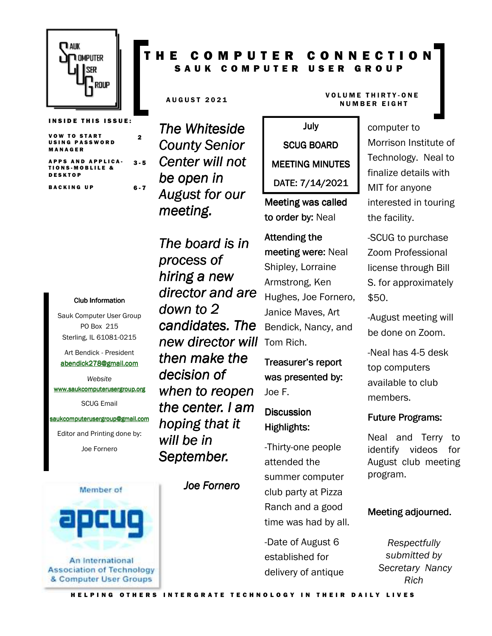

**VOW TO START** USING PASSWORD M A N A G E R

APPS AND APPLICA-TIONS-MOBLILE & D E S K T O P 3 - 5

2

BACKING UP 6-7

#### Club Information Club Information

Sauk Computer User Group PO Box 215 Sterling, IL 61081-0215

Art Bendick - President abendick278@gmail.com

*Website*  www.saukcomputerusergroup.org SCUG Email

#### saukcomputerusergroup@gmail.com

Editor and Printing done by: Joe Fornero



## COMPUTER CONNECTION S A U K C O M P U T E R U S E R G R O U P

*The Whiteside County Senior Center will not be open in August for our meeting.* 

*The board is in process of hiring a new director and are down to 2 candidates. The new director will then make the decision of when to reopen the center. I am hoping that it will be in*  September.

*Joe Fornero Fornero* 

#### AUGUST 2021 VOLUME THIRTY-ONE **NUMBER EIGHT**

July SCUG BOARD MEETING MINUTES DATE: 7/14/2021

Meeting was called to order by: Neal

# Attending the meeting were: Neal Shipley, Lorraine Armstrong, Ken Hughes, Joe Fornero, Janice Maves, Art Bendick, Nancy, and Tom Rich.

Treasurer's report was presented by: Joe F.

### **Discussion** Highlights:

-Thirty-one people attended the summer computer club party at Pizza Ranch and a good time was had by all.

-Date of August 6 established for delivery of antique

# computer to

Morrison Institute of Technology. Neal to finalize details with MIT for anyone interested in touring the facility.

-SCUG to purchase Zoom Professional license through Bill S. for approximately \$50.

-August meeting will be done on Zoom.

-Neal has 4-5 desk top computers available to club members.

#### **Future Programs:**

Neal and Terry to identify videos for August club meeting program.

#### Meeting adjourned.

*Respectfully submitted by Secretary Nancy Rich*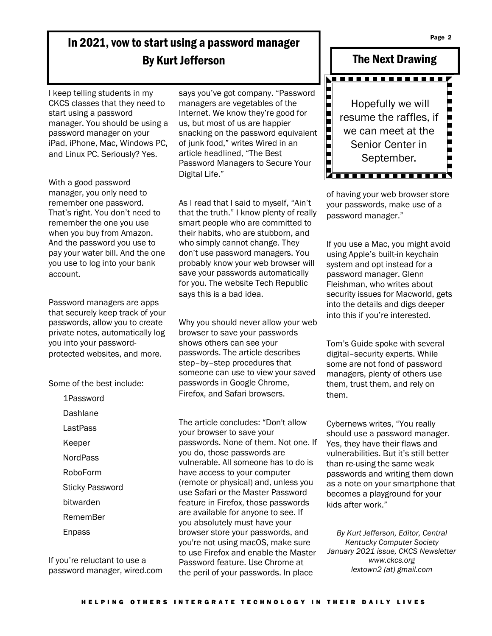Page 2

# In 2021, vow to start using a password manager By Kurt Jefferson

I keep telling students in my CKCS classes that they need to start using a password manager. You should be using a password manager on your iPad, iPhone, Mac, Windows PC, and Linux PC. Seriously? Yes.

With a good password manager, you only need to remember one password. That's right. You don't need to remember the one you use when you buy from Amazon. And the password you use to pay your water bill. And the one you use to log into your bank account.

Password managers are apps that securely keep track of your passwords, allow you to create private notes, automatically log you into your passwordprotected websites, and more.

Some of the best include:

1Password Dashlane LastPass Keeper **NordPass** RoboForm Sticky Password bitwarden RememBer Enpass

If you're reluctant to use a password manager, wired.com says you've got company. "Password managers are vegetables of the Internet. We know they're good for us, but most of us are happier snacking on the password equivalent of junk food," writes Wired in an article headlined, "The Best Password Managers to Secure Your Digital Life."

As I read that I said to myself, "Ain't that the truth." I know plenty of really smart people who are committed to their habits, who are stubborn, and who simply cannot change. They don't use password managers. You probably know your web browser will save your passwords automatically for you. The website Tech Republic says this is a bad idea.

Why you should never allow your web browser to save your passwords shows others can see your passwords. The article describes step–by–step procedures that someone can use to view your saved passwords in Google Chrome, Firefox, and Safari browsers.

The article concludes: "Don't allow your browser to save your passwords. None of them. Not one. If you do, those passwords are vulnerable. All someone has to do is have access to your computer (remote or physical) and, unless you use Safari or the Master Password feature in Firefox, those passwords are available for anyone to see. If you absolutely must have your browser store your passwords, and you're not using macOS, make sure to use Firefox and enable the Master Password feature. Use Chrome at the peril of your passwords. In place



of having your web browser store your passwords, make use of a password manager."

If you use a Mac, you might avoid using Apple's built-in keychain system and opt instead for a password manager. Glenn Fleishman, who writes about security issues for Macworld, gets into the details and digs deeper into this if you're interested.

Tom's Guide spoke with several digital–security experts. While some are not fond of password managers, plenty of others use them, trust them, and rely on them.

Cybernews writes, "You really should use a password manager. Yes, they have their flaws and vulnerabilities. But it's still better than re-using the same weak passwords and writing them down as a note on your smartphone that becomes a playground for your kids after work."

*By Kurt Jefferson, Editor, Central Kentucky Computer Society January 2021 issue, CKCS Newsletter www.ckcs.org lextown2 (at) gmail.com*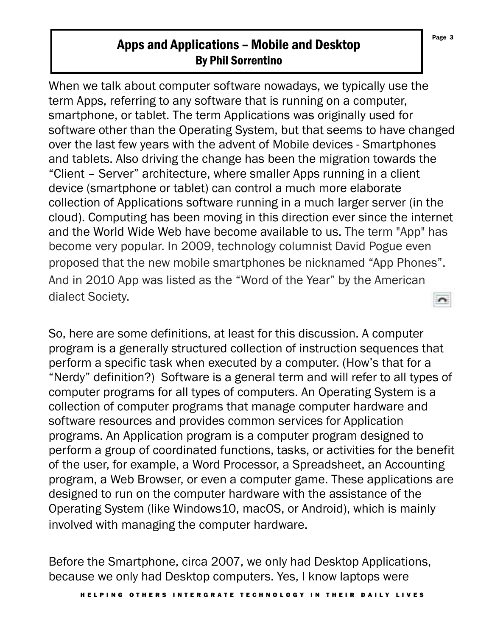# Apps and Applications – Mobile and Desktop By Phil Sorrentino

When we talk about computer software nowadays, we typically use the term Apps, referring to any software that is running on a computer, smartphone, or tablet. The term Applications was originally used for software other than the Operating System, but that seems to have changed over the last few years with the advent of Mobile devices - Smartphones and tablets. Also driving the change has been the migration towards the "Client – Server" architecture, where smaller Apps running in a client device (smartphone or tablet) can control a much more elaborate collection of Applications software running in a much larger server (in the cloud). Computing has been moving in this direction ever since the internet and the World Wide Web have become available to us. The term "App" has become very popular. In 2009, technology columnist David Pogue even proposed that the new mobile smartphones be nicknamed "App Phones". And in 2010 App was listed as the "Word of the Year" by the American dialect Society.

So, here are some definitions, at least for this discussion. A computer program is a generally structured collection of instruction sequences that perform a specific task when executed by a computer. (How's that for a "Nerdy" definition?) Software is a general term and will refer to all types of computer programs for all types of computers. An Operating System is a collection of computer programs that manage computer hardware and software resources and provides common services for Application programs. An Application program is a computer program designed to perform a group of coordinated functions, tasks, or activities for the benefit of the user, for example, a Word Processor, a Spreadsheet, an Accounting program, a Web Browser, or even a computer game. These applications are designed to run on the computer hardware with the assistance of the Operating System (like Windows10, macOS, or Android), which is mainly involved with managing the computer hardware.

Before the Smartphone, circa 2007, we only had Desktop Applications, because we only had Desktop computers. Yes, I know laptops were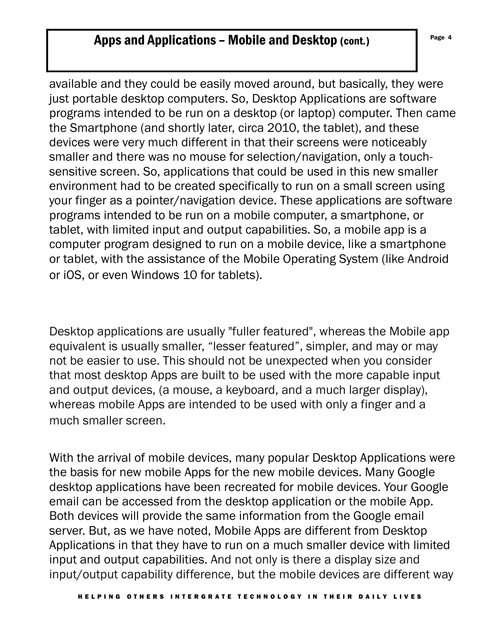# Apps and Applications – Mobile and Desktop (cont.)  $\left\vert \right.$  Page 4

available and they could be easily moved around, but basically, they were just portable desktop computers. So, Desktop Applications are software programs intended to be run on a desktop (or laptop) computer. Then came the Smartphone (and shortly later, circa 2010, the tablet), and these devices were very much different in that their screens were noticeably smaller and there was no mouse for selection/navigation, only a touchsensitive screen. So, applications that could be used in this new smaller environment had to be created specifically to run on a small screen using your finger as a pointer/navigation device. These applications are software programs intended to be run on a mobile computer, a smartphone, or tablet, with limited input and output capabilities. So, a mobile app is a computer program designed to run on a mobile device, like a smartphone or tablet, with the assistance of the Mobile Operating System (like Android or iOS, or even Windows 10 for tablets).

Desktop applications are usually "fuller featured", whereas the Mobile app equivalent is usually smaller, "lesser featured", simpler, and may or may not be easier to use. This should not be unexpected when you consider that most desktop Apps are built to be used with the more capable input and output devices, (a mouse, a keyboard, and a much larger display), whereas mobile Apps are intended to be used with only a finger and a much smaller screen.

With the arrival of mobile devices, many popular Desktop Applications were the basis for new mobile Apps for the new mobile devices. Many Google desktop applications have been recreated for mobile devices. Your Google email can be accessed from the desktop application or the mobile App. Both devices will provide the same information from the Google email server. But, as we have noted, Mobile Apps are different from Desktop Applications in that they have to run on a much smaller device with limited input and output capabilities. And not only is there a display size and input/output capability difference, but the mobile devices are different way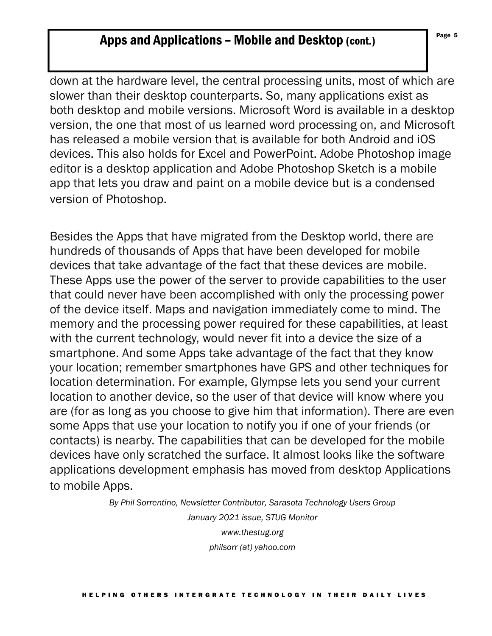# Apps and Applications – Mobile and Desktop (cont.)  $\left| \begin{array}{c} \text{Page } 5 \\ \end{array} \right|$

down at the hardware level, the central processing units, most of which are slower than their desktop counterparts. So, many applications exist as both desktop and mobile versions. Microsoft Word is available in a desktop version, the one that most of us learned word processing on, and Microsoft has released a mobile version that is available for both Android and iOS devices. This also holds for Excel and PowerPoint. Adobe Photoshop image editor is a desktop application and Adobe Photoshop Sketch is a mobile app that lets you draw and paint on a mobile device but is a condensed version of Photoshop.

Besides the Apps that have migrated from the Desktop world, there are hundreds of thousands of Apps that have been developed for mobile devices that take advantage of the fact that these devices are mobile. These Apps use the power of the server to provide capabilities to the user that could never have been accomplished with only the processing power of the device itself. Maps and navigation immediately come to mind. The memory and the processing power required for these capabilities, at least with the current technology, would never fit into a device the size of a smartphone. And some Apps take advantage of the fact that they know your location; remember smartphones have GPS and other techniques for location determination. For example, Glympse lets you send your current location to another device, so the user of that device will know where you are (for as long as you choose to give him that information). There are even some Apps that use your location to notify you if one of your friends (or contacts) is nearby. The capabilities that can be developed for the mobile devices have only scratched the surface. It almost looks like the software applications development emphasis has moved from desktop Applications to mobile Apps.

> *By Phil Sorrentino, Newsletter Contributor, Sarasota Technology Users Group January 2021 issue, STUG Monitor www.thestug.org philsorr (at) yahoo.com*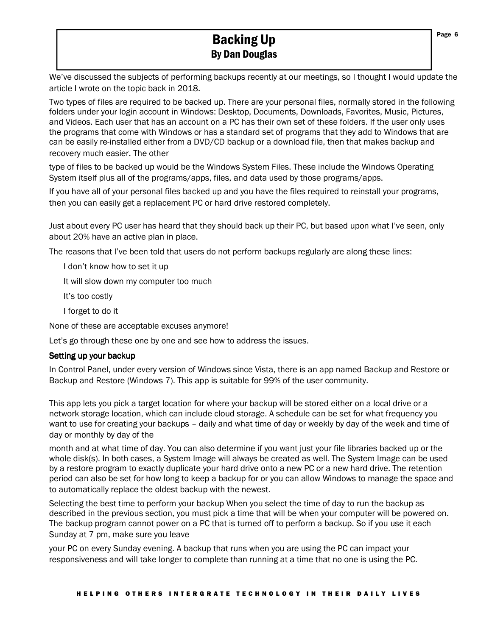# Backing Up By Dan Douglas

We've discussed the subjects of performing backups recently at our meetings, so I thought I would update the article I wrote on the topic back in 2018.

Two types of files are required to be backed up. There are your personal files, normally stored in the following folders under your login account in Windows: Desktop, Documents, Downloads, Favorites, Music, Pictures, and Videos. Each user that has an account on a PC has their own set of these folders. If the user only uses the programs that come with Windows or has a standard set of programs that they add to Windows that are can be easily re-installed either from a DVD/CD backup or a download file, then that makes backup and recovery much easier. The other

type of files to be backed up would be the Windows System Files. These include the Windows Operating System itself plus all of the programs/apps, files, and data used by those programs/apps.

If you have all of your personal files backed up and you have the files required to reinstall your programs, then you can easily get a replacement PC or hard drive restored completely.

Just about every PC user has heard that they should back up their PC, but based upon what I've seen, only about 20% have an active plan in place.

The reasons that I've been told that users do not perform backups regularly are along these lines:

I don't know how to set it up

It will slow down my computer too much

It's too costly

I forget to do it

None of these are acceptable excuses anymore!

Let's go through these one by one and see how to address the issues.

#### Setting up your backup

In Control Panel, under every version of Windows since Vista, there is an app named Backup and Restore or Backup and Restore (Windows 7). This app is suitable for 99% of the user community.

This app lets you pick a target location for where your backup will be stored either on a local drive or a network storage location, which can include cloud storage. A schedule can be set for what frequency you want to use for creating your backups – daily and what time of day or weekly by day of the week and time of day or monthly by day of the

month and at what time of day. You can also determine if you want just your file libraries backed up or the whole disk(s). In both cases, a System Image will always be created as well. The System Image can be used by a restore program to exactly duplicate your hard drive onto a new PC or a new hard drive. The retention period can also be set for how long to keep a backup for or you can allow Windows to manage the space and to automatically replace the oldest backup with the newest.

Selecting the best time to perform your backup When you select the time of day to run the backup as described in the previous section, you must pick a time that will be when your computer will be powered on. The backup program cannot power on a PC that is turned off to perform a backup. So if you use it each Sunday at 7 pm, make sure you leave

your PC on every Sunday evening. A backup that runs when you are using the PC can impact your responsiveness and will take longer to complete than running at a time that no one is using the PC.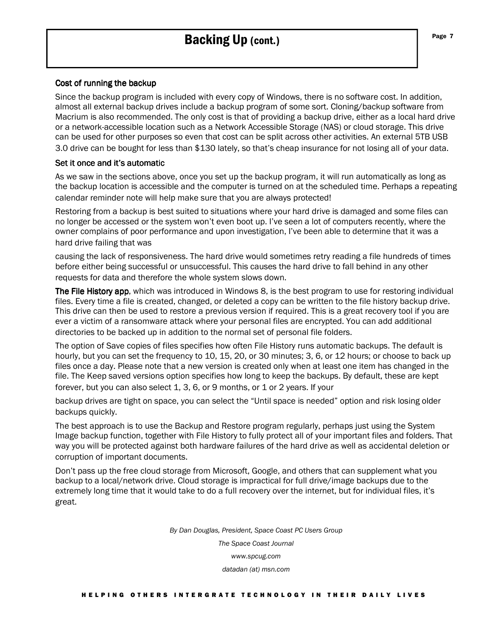# Backing Up (cont.)

#### Cost of running the backup

Since the backup program is included with every copy of Windows, there is no software cost. In addition, almost all external backup drives include a backup program of some sort. Cloning/backup software from Macrium is also recommended. The only cost is that of providing a backup drive, either as a local hard drive or a network-accessible location such as a Network Accessible Storage (NAS) or cloud storage. This drive can be used for other purposes so even that cost can be split across other activities. An external 5TB USB 3.0 drive can be bought for less than \$130 lately, so that's cheap insurance for not losing all of your data.

#### Set it once and it's automatic

As we saw in the sections above, once you set up the backup program, it will run automatically as long as the backup location is accessible and the computer is turned on at the scheduled time. Perhaps a repeating calendar reminder note will help make sure that you are always protected!

Restoring from a backup is best suited to situations where your hard drive is damaged and some files can no longer be accessed or the system won't even boot up. I've seen a lot of computers recently, where the owner complains of poor performance and upon investigation, I've been able to determine that it was a hard drive failing that was

causing the lack of responsiveness. The hard drive would sometimes retry reading a file hundreds of times before either being successful or unsuccessful. This causes the hard drive to fall behind in any other requests for data and therefore the whole system slows down.

The File History app, which was introduced in Windows 8, is the best program to use for restoring individual files. Every time a file is created, changed, or deleted a copy can be written to the file history backup drive. This drive can then be used to restore a previous version if required. This is a great recovery tool if you are ever a victim of a ransomware attack where your personal files are encrypted. You can add additional directories to be backed up in addition to the normal set of personal file folders.

The option of Save copies of files specifies how often File History runs automatic backups. The default is hourly, but you can set the frequency to 10, 15, 20, or 30 minutes; 3, 6, or 12 hours; or choose to back up files once a day. Please note that a new version is created only when at least one item has changed in the file. The Keep saved versions option specifies how long to keep the backups. By default, these are kept forever, but you can also select 1, 3, 6, or 9 months, or 1 or 2 years. If your

backup drives are tight on space, you can select the "Until space is needed" option and risk losing older backups quickly.

The best approach is to use the Backup and Restore program regularly, perhaps just using the System Image backup function, together with File History to fully protect all of your important files and folders. That way you will be protected against both hardware failures of the hard drive as well as accidental deletion or corruption of important documents.

Don't pass up the free cloud storage from Microsoft, Google, and others that can supplement what you backup to a local/network drive. Cloud storage is impractical for full drive/image backups due to the extremely long time that it would take to do a full recovery over the internet, but for individual files, it's great.

> *By Dan Douglas, President, Space Coast PC Users Group The Space Coast Journal www.spcug.com datadan (at) msn.com*